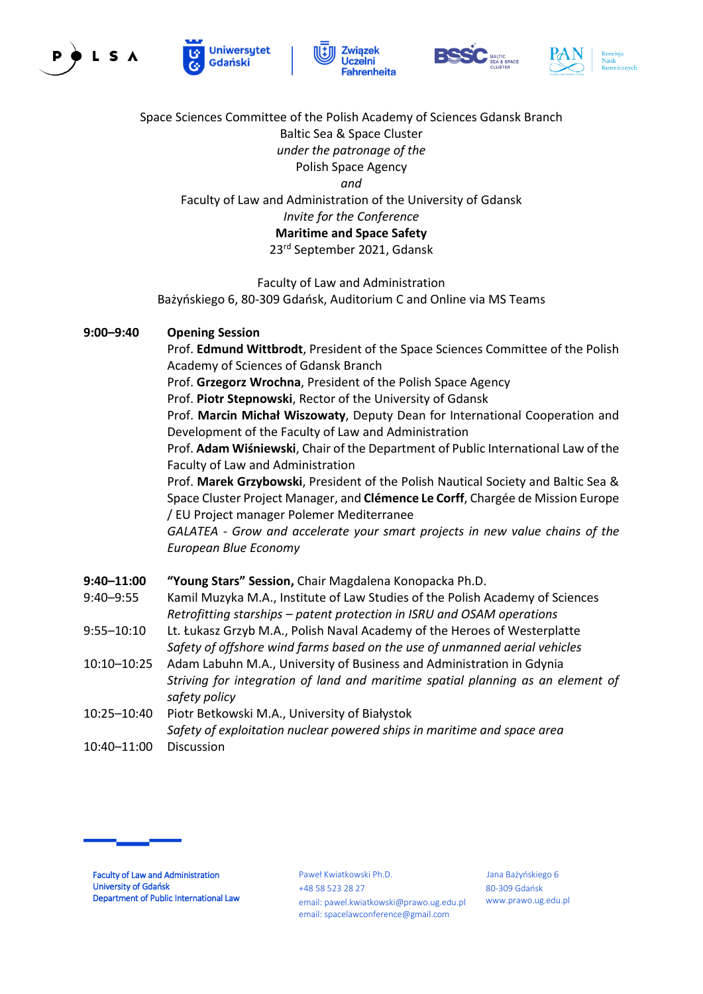









Space Sciences Committee of the Polish Academy of Sciences Gdansk Branch Baltic Sea & Space Cluster *under the patronage of the* Polish Space Agency *and* Faculty of Law and Administration of the University of Gdansk *Invite for the Conference* **Maritime and Space Safety** 23rd September 2021, Gdansk

Faculty of Law and Administration Bażyńskiego 6, 80-309 Gdańsk, Auditorium C and Online via MS Teams

## **9:00–9:40 Opening Session**

Prof. **Edmund Wittbrodt**, President of the Space Sciences Committee of the Polish Academy of Sciences of Gdansk Branch

Prof. **Grzegorz Wrochna**, President of the Polish Space Agency

Prof. **Piotr Stepnowski**, Rector of the University of Gdansk

Prof. **Marcin Michał Wiszowaty**, Deputy Dean for International Cooperation and Development of the Faculty of Law and Administration

Prof. **Adam Wiśniewski**, Chair of the Department of Public International Law of the Faculty of Law and Administration

Prof. **Marek Grzybowski**, President of the Polish Nautical Society and Baltic Sea & Space Cluster Project Manager, and **Clémence Le Corff**, Chargée de Mission Europe / EU Project manager Polemer Mediterranee

*GALATEA - Grow and accelerate your smart projects in new value chains of the European Blue Economy* 

- **9:40–11:00 "Young Stars" Session,** Chair Magdalena Konopacka Ph.D.
- 9:40–9:55 Kamil Muzyka M.A., Institute of Law Studies of the Polish Academy of Sciences *Retrofitting starships – patent protection in ISRU and OSAM operations*
- 9:55–10:10 Lt. Łukasz Grzyb M.A., Polish Naval Academy of the Heroes of Westerplatte *Safety of offshore wind farms based on the use of unmanned aerial vehicles*
- 10:10–10:25 Adam Labuhn M.A., University of Business and Administration in Gdynia *Striving for integration of land and maritime spatial planning as an element of safety policy*
- 10:25–10:40 Piotr Betkowski M.A., University of Białystok *Safety of exploitation nuclear powered ships in maritime and space area*
- 10:40–11:00 Discussion



Paweł Kwiatkowski Ph.D. +48 58 523 28 27 email: pawel.kwiatkowski@prawo.ug.edu.pl email: spacelawconference@gmail.com

 Jana Bażyńskiego 6 80-309 Gdańsk www.prawo.ug.edu.pl